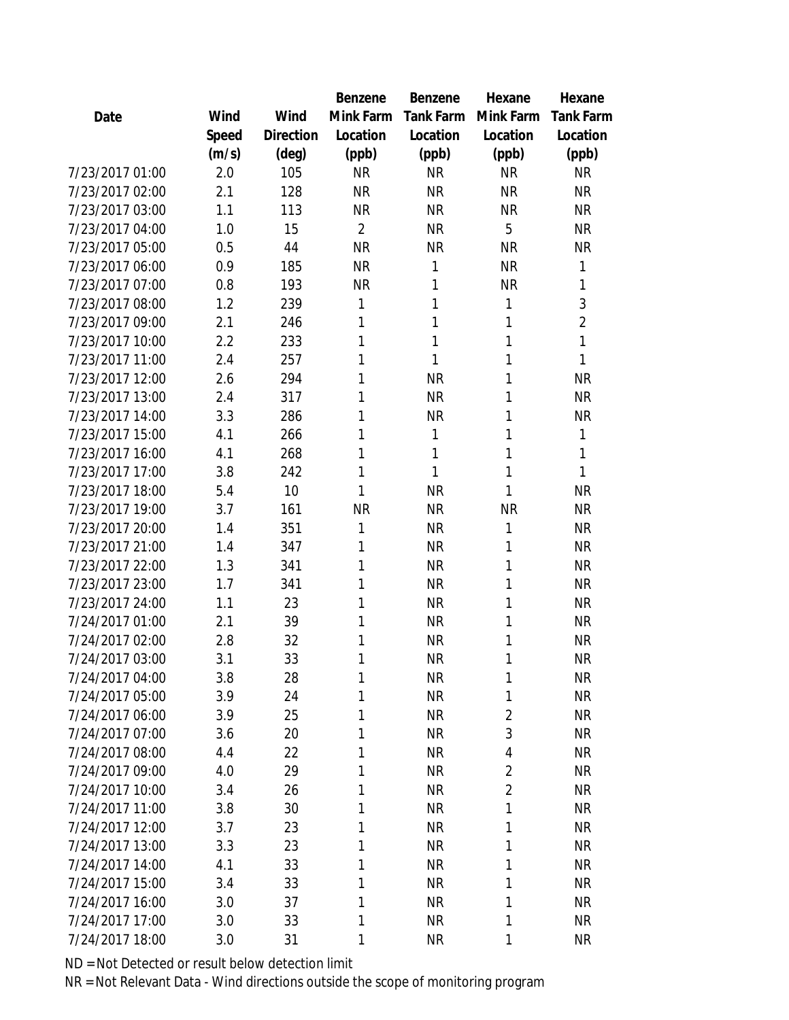|                 |       |           | Benzene        | Benzene          | Hexane         | Hexane           |
|-----------------|-------|-----------|----------------|------------------|----------------|------------------|
| Date            | Wind  | Wind      | Mink Farm      | <b>Tank Farm</b> | Mink Farm      | <b>Tank Farm</b> |
|                 | Speed | Direction | Location       | Location         | Location       | Location         |
|                 | (m/s) | (deg)     | (ppb)          | (ppb)            | (ppb)          | (ppb)            |
| 7/23/2017 01:00 | 2.0   | 105       | <b>NR</b>      | <b>NR</b>        | <b>NR</b>      | <b>NR</b>        |
| 7/23/2017 02:00 | 2.1   | 128       | <b>NR</b>      | <b>NR</b>        | <b>NR</b>      | <b>NR</b>        |
| 7/23/2017 03:00 | 1.1   | 113       | <b>NR</b>      | <b>NR</b>        | <b>NR</b>      | <b>NR</b>        |
| 7/23/2017 04:00 | 1.0   | 15        | $\overline{2}$ | <b>NR</b>        | 5              | <b>NR</b>        |
| 7/23/2017 05:00 | 0.5   | 44        | <b>NR</b>      | <b>NR</b>        | <b>NR</b>      | <b>NR</b>        |
| 7/23/2017 06:00 | 0.9   | 185       | <b>NR</b>      | 1                | <b>NR</b>      | $\mathbf{1}$     |
| 7/23/2017 07:00 | 0.8   | 193       | <b>NR</b>      | 1                | <b>NR</b>      | 1                |
| 7/23/2017 08:00 | 1.2   | 239       | 1              | 1                | 1              | 3                |
| 7/23/2017 09:00 | 2.1   | 246       | 1              | 1                | 1              | $\overline{2}$   |
| 7/23/2017 10:00 | 2.2   | 233       | 1              | 1                | 1              | $\mathbf{1}$     |
| 7/23/2017 11:00 | 2.4   | 257       | 1              | 1                | 1              | 1                |
| 7/23/2017 12:00 | 2.6   | 294       | 1              | <b>NR</b>        | 1              | <b>NR</b>        |
| 7/23/2017 13:00 | 2.4   | 317       | 1              | <b>NR</b>        | 1              | <b>NR</b>        |
| 7/23/2017 14:00 | 3.3   | 286       | 1              | <b>NR</b>        | 1              | <b>NR</b>        |
| 7/23/2017 15:00 | 4.1   | 266       | 1              | 1                | 1              | $\mathbf{1}$     |
| 7/23/2017 16:00 | 4.1   | 268       | 1              | 1                | 1              | 1                |
| 7/23/2017 17:00 | 3.8   | 242       | 1              | 1                | 1              | 1                |
| 7/23/2017 18:00 | 5.4   | 10        | 1              | <b>NR</b>        | 1              | <b>NR</b>        |
| 7/23/2017 19:00 | 3.7   | 161       | <b>NR</b>      | <b>NR</b>        | <b>NR</b>      | <b>NR</b>        |
| 7/23/2017 20:00 | 1.4   | 351       | 1              | <b>NR</b>        | 1              | <b>NR</b>        |
| 7/23/2017 21:00 | 1.4   | 347       | 1              | <b>NR</b>        | 1              | <b>NR</b>        |
| 7/23/2017 22:00 | 1.3   | 341       | 1              | <b>NR</b>        | 1              | <b>NR</b>        |
| 7/23/2017 23:00 | 1.7   | 341       | 1              | <b>NR</b>        | 1              | <b>NR</b>        |
| 7/23/2017 24:00 | 1.1   | 23        | 1              | <b>NR</b>        | 1              | <b>NR</b>        |
| 7/24/2017 01:00 | 2.1   | 39        | 1              | <b>NR</b>        | 1              | <b>NR</b>        |
| 7/24/2017 02:00 | 2.8   | 32        | 1              | <b>NR</b>        | 1              | <b>NR</b>        |
| 7/24/2017 03:00 | 3.1   | 33        | 1              | <b>NR</b>        | 1              | <b>NR</b>        |
| 7/24/2017 04:00 | 3.8   | 28        | 1              | <b>NR</b>        | 1              | <b>NR</b>        |
| 7/24/2017 05:00 | 3.9   | 24        | 1              | <b>NR</b>        | 1              | <b>NR</b>        |
| 7/24/2017 06:00 | 3.9   | 25        | 1              | <b>NR</b>        | $\overline{2}$ | <b>NR</b>        |
| 7/24/2017 07:00 | 3.6   | 20        | 1              | <b>NR</b>        | 3              | <b>NR</b>        |
| 7/24/2017 08:00 | 4.4   | 22        | 1              | <b>NR</b>        | 4              | <b>NR</b>        |
| 7/24/2017 09:00 | 4.0   | 29        | 1              | <b>NR</b>        | $\overline{2}$ | <b>NR</b>        |
| 7/24/2017 10:00 | 3.4   | 26        | 1              | <b>NR</b>        | $\overline{2}$ | <b>NR</b>        |
| 7/24/2017 11:00 | 3.8   | 30        | 1              | <b>NR</b>        | 1              | <b>NR</b>        |
| 7/24/2017 12:00 | 3.7   | 23        | 1              | <b>NR</b>        | 1              | <b>NR</b>        |
| 7/24/2017 13:00 | 3.3   | 23        | 1              | <b>NR</b>        | 1              | <b>NR</b>        |
| 7/24/2017 14:00 | 4.1   | 33        | 1              | <b>NR</b>        | 1              | NR               |
| 7/24/2017 15:00 | 3.4   | 33        | 1              | <b>NR</b>        | 1              | <b>NR</b>        |
| 7/24/2017 16:00 | 3.0   | 37        | 1              | <b>NR</b>        | 1              | <b>NR</b>        |
| 7/24/2017 17:00 | 3.0   | 33        | 1              | <b>NR</b>        | 1              | <b>NR</b>        |
| 7/24/2017 18:00 | 3.0   | 31        | 1              | <b>NR</b>        | 1              | <b>NR</b>        |
|                 |       |           |                |                  |                |                  |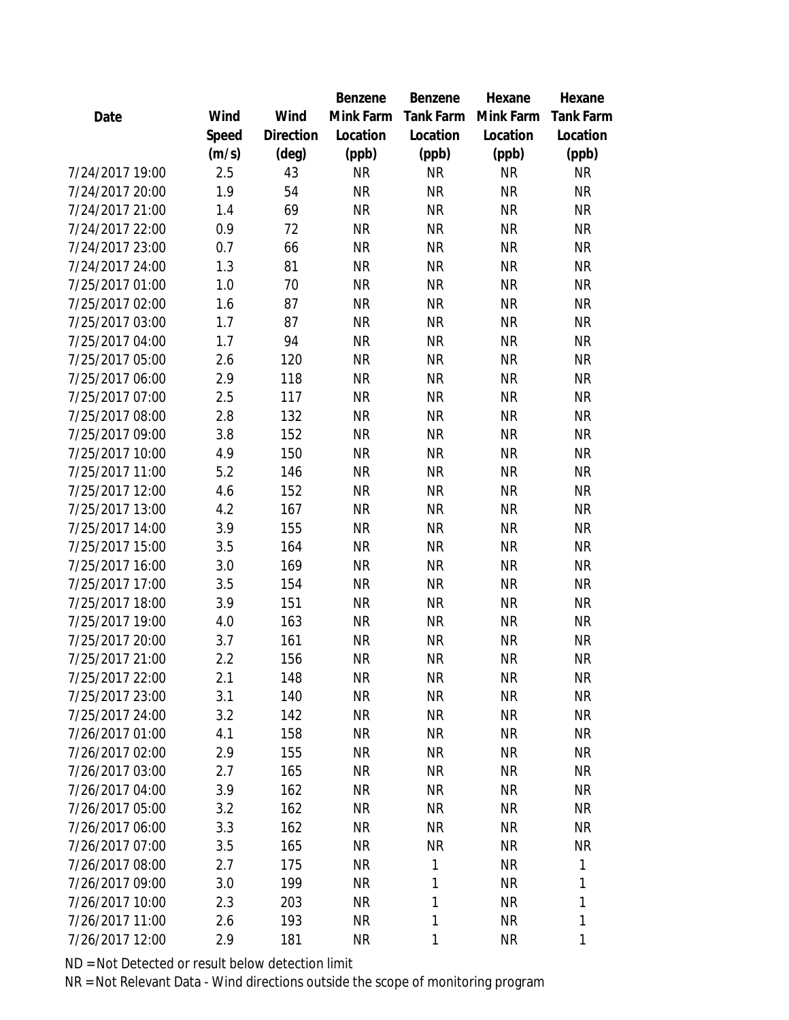|                 |       |           | Benzene   | Benzene          | Hexane    | Hexane           |
|-----------------|-------|-----------|-----------|------------------|-----------|------------------|
| Date            | Wind  | Wind      | Mink Farm | <b>Tank Farm</b> | Mink Farm | <b>Tank Farm</b> |
|                 | Speed | Direction | Location  | Location         | Location  | Location         |
|                 | (m/s) | (deg)     | (ppb)     | (ppb)            | (ppb)     | (ppb)            |
| 7/24/2017 19:00 | 2.5   | 43        | <b>NR</b> | <b>NR</b>        | <b>NR</b> | <b>NR</b>        |
| 7/24/2017 20:00 | 1.9   | 54        | <b>NR</b> | <b>NR</b>        | <b>NR</b> | <b>NR</b>        |
| 7/24/2017 21:00 | 1.4   | 69        | <b>NR</b> | <b>NR</b>        | <b>NR</b> | <b>NR</b>        |
| 7/24/2017 22:00 | 0.9   | 72        | <b>NR</b> | <b>NR</b>        | <b>NR</b> | <b>NR</b>        |
| 7/24/2017 23:00 | 0.7   | 66        | <b>NR</b> | <b>NR</b>        | <b>NR</b> | <b>NR</b>        |
| 7/24/2017 24:00 | 1.3   | 81        | <b>NR</b> | <b>NR</b>        | <b>NR</b> | <b>NR</b>        |
| 7/25/2017 01:00 | 1.0   | 70        | <b>NR</b> | <b>NR</b>        | <b>NR</b> | <b>NR</b>        |
| 7/25/2017 02:00 | 1.6   | 87        | <b>NR</b> | <b>NR</b>        | <b>NR</b> | <b>NR</b>        |
| 7/25/2017 03:00 | 1.7   | 87        | <b>NR</b> | <b>NR</b>        | <b>NR</b> | <b>NR</b>        |
| 7/25/2017 04:00 | 1.7   | 94        | <b>NR</b> | <b>NR</b>        | <b>NR</b> | <b>NR</b>        |
| 7/25/2017 05:00 | 2.6   | 120       | <b>NR</b> | <b>NR</b>        | <b>NR</b> | <b>NR</b>        |
| 7/25/2017 06:00 | 2.9   | 118       | <b>NR</b> | <b>NR</b>        | <b>NR</b> | <b>NR</b>        |
| 7/25/2017 07:00 | 2.5   | 117       | <b>NR</b> | <b>NR</b>        | <b>NR</b> | <b>NR</b>        |
| 7/25/2017 08:00 | 2.8   | 132       | <b>NR</b> | <b>NR</b>        | <b>NR</b> | <b>NR</b>        |
| 7/25/2017 09:00 | 3.8   | 152       | <b>NR</b> | <b>NR</b>        | <b>NR</b> | <b>NR</b>        |
| 7/25/2017 10:00 | 4.9   | 150       | <b>NR</b> | <b>NR</b>        | <b>NR</b> | <b>NR</b>        |
| 7/25/2017 11:00 | 5.2   | 146       | <b>NR</b> | <b>NR</b>        | <b>NR</b> | <b>NR</b>        |
| 7/25/2017 12:00 | 4.6   | 152       | <b>NR</b> | <b>NR</b>        | <b>NR</b> | <b>NR</b>        |
| 7/25/2017 13:00 | 4.2   | 167       | <b>NR</b> | <b>NR</b>        | <b>NR</b> | <b>NR</b>        |
| 7/25/2017 14:00 | 3.9   | 155       | <b>NR</b> | <b>NR</b>        | <b>NR</b> | <b>NR</b>        |
| 7/25/2017 15:00 | 3.5   | 164       | <b>NR</b> | <b>NR</b>        | <b>NR</b> | <b>NR</b>        |
| 7/25/2017 16:00 | 3.0   | 169       | <b>NR</b> | <b>NR</b>        | <b>NR</b> | <b>NR</b>        |
| 7/25/2017 17:00 | 3.5   | 154       | <b>NR</b> | <b>NR</b>        | <b>NR</b> | <b>NR</b>        |
| 7/25/2017 18:00 | 3.9   | 151       | <b>NR</b> | <b>NR</b>        | <b>NR</b> | <b>NR</b>        |
| 7/25/2017 19:00 | 4.0   | 163       | <b>NR</b> | <b>NR</b>        | <b>NR</b> | <b>NR</b>        |
| 7/25/2017 20:00 | 3.7   | 161       | <b>NR</b> | <b>NR</b>        | <b>NR</b> | NR               |
| 7/25/2017 21:00 | 2.2   | 156       | <b>NR</b> | <b>NR</b>        | <b>NR</b> | <b>NR</b>        |
| 7/25/2017 22:00 | 2.1   | 148       | <b>NR</b> | <b>NR</b>        | <b>NR</b> | <b>NR</b>        |
| 7/25/2017 23:00 | 3.1   | 140       | <b>NR</b> | <b>NR</b>        | <b>NR</b> | <b>NR</b>        |
| 7/25/2017 24:00 | 3.2   | 142       | <b>NR</b> | <b>NR</b>        | <b>NR</b> | <b>NR</b>        |
| 7/26/2017 01:00 | 4.1   | 158       | <b>NR</b> | <b>NR</b>        | <b>NR</b> | <b>NR</b>        |
| 7/26/2017 02:00 | 2.9   | 155       | <b>NR</b> | <b>NR</b>        | <b>NR</b> | <b>NR</b>        |
| 7/26/2017 03:00 | 2.7   | 165       | <b>NR</b> | <b>NR</b>        | <b>NR</b> | <b>NR</b>        |
| 7/26/2017 04:00 | 3.9   | 162       | <b>NR</b> | <b>NR</b>        | <b>NR</b> | <b>NR</b>        |
| 7/26/2017 05:00 | 3.2   | 162       | <b>NR</b> | <b>NR</b>        | <b>NR</b> | <b>NR</b>        |
| 7/26/2017 06:00 | 3.3   | 162       | <b>NR</b> | <b>NR</b>        | <b>NR</b> | <b>NR</b>        |
| 7/26/2017 07:00 | 3.5   | 165       | <b>NR</b> | <b>NR</b>        | <b>NR</b> | <b>NR</b>        |
| 7/26/2017 08:00 | 2.7   | 175       | <b>NR</b> | 1                | <b>NR</b> | 1                |
| 7/26/2017 09:00 | 3.0   | 199       | <b>NR</b> | 1                | <b>NR</b> | 1                |
| 7/26/2017 10:00 | 2.3   | 203       | NR        | 1                | <b>NR</b> | 1                |
| 7/26/2017 11:00 | 2.6   | 193       | <b>NR</b> | 1                | <b>NR</b> | 1                |
| 7/26/2017 12:00 | 2.9   | 181       | <b>NR</b> | 1                | <b>NR</b> | 1                |
|                 |       |           |           |                  |           |                  |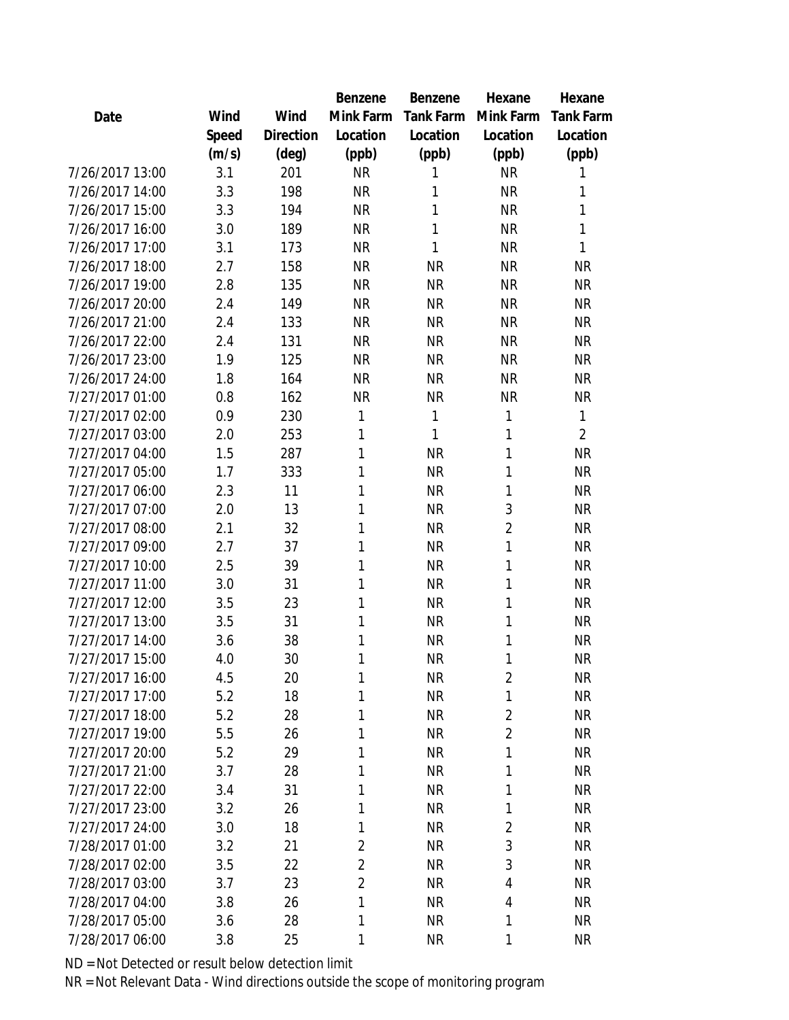|                 |       |           | Benzene        | Benzene   | Hexane         | Hexane           |
|-----------------|-------|-----------|----------------|-----------|----------------|------------------|
| Date            | Wind  | Wind      | Mink Farm      | Tank Farm | Mink Farm      | <b>Tank Farm</b> |
|                 | Speed | Direction | Location       | Location  | Location       | Location         |
|                 | (m/s) | (deg)     | (ppb)          | (ppb)     | (ppb)          | (ppb)            |
| 7/26/2017 13:00 | 3.1   | 201       | <b>NR</b>      | 1         | <b>NR</b>      | 1                |
| 7/26/2017 14:00 | 3.3   | 198       | <b>NR</b>      | 1         | <b>NR</b>      | 1                |
| 7/26/2017 15:00 | 3.3   | 194       | <b>NR</b>      | 1         | <b>NR</b>      | 1                |
| 7/26/2017 16:00 | 3.0   | 189       | <b>NR</b>      | 1         | <b>NR</b>      | 1                |
| 7/26/2017 17:00 | 3.1   | 173       | <b>NR</b>      | 1         | <b>NR</b>      | 1                |
| 7/26/2017 18:00 | 2.7   | 158       | <b>NR</b>      | <b>NR</b> | <b>NR</b>      | <b>NR</b>        |
| 7/26/2017 19:00 | 2.8   | 135       | <b>NR</b>      | <b>NR</b> | <b>NR</b>      | <b>NR</b>        |
| 7/26/2017 20:00 | 2.4   | 149       | <b>NR</b>      | <b>NR</b> | <b>NR</b>      | <b>NR</b>        |
| 7/26/2017 21:00 | 2.4   | 133       | <b>NR</b>      | <b>NR</b> | <b>NR</b>      | <b>NR</b>        |
| 7/26/2017 22:00 | 2.4   | 131       | <b>NR</b>      | <b>NR</b> | <b>NR</b>      | <b>NR</b>        |
| 7/26/2017 23:00 | 1.9   | 125       | <b>NR</b>      | <b>NR</b> | <b>NR</b>      | <b>NR</b>        |
| 7/26/2017 24:00 | 1.8   | 164       | <b>NR</b>      | <b>NR</b> | <b>NR</b>      | <b>NR</b>        |
| 7/27/2017 01:00 | 0.8   | 162       | <b>NR</b>      | <b>NR</b> | <b>NR</b>      | <b>NR</b>        |
| 7/27/2017 02:00 | 0.9   | 230       | 1              | 1         | 1              | 1                |
| 7/27/2017 03:00 | 2.0   | 253       | 1              | 1         | 1              | $\overline{2}$   |
| 7/27/2017 04:00 | 1.5   | 287       | 1              | <b>NR</b> | 1              | <b>NR</b>        |
| 7/27/2017 05:00 | 1.7   | 333       | 1              | <b>NR</b> | 1              | <b>NR</b>        |
| 7/27/2017 06:00 | 2.3   | 11        | 1              | <b>NR</b> | 1              | <b>NR</b>        |
| 7/27/2017 07:00 | 2.0   | 13        | 1              | <b>NR</b> | 3              | <b>NR</b>        |
| 7/27/2017 08:00 | 2.1   | 32        | 1              | <b>NR</b> | $\overline{2}$ | <b>NR</b>        |
| 7/27/2017 09:00 | 2.7   | 37        | 1              | <b>NR</b> | 1              | <b>NR</b>        |
| 7/27/2017 10:00 | 2.5   | 39        | 1              | <b>NR</b> | 1              | <b>NR</b>        |
| 7/27/2017 11:00 | 3.0   | 31        | 1              | <b>NR</b> | 1              | <b>NR</b>        |
| 7/27/2017 12:00 | 3.5   | 23        | 1              | <b>NR</b> | 1              | <b>NR</b>        |
| 7/27/2017 13:00 | 3.5   | 31        | 1              | <b>NR</b> | 1              | <b>NR</b>        |
| 7/27/2017 14:00 | 3.6   | 38        | 1              | <b>NR</b> | 1              | <b>NR</b>        |
| 7/27/2017 15:00 | 4.0   | 30        | 1              | <b>NR</b> | 1              | <b>NR</b>        |
| 7/27/2017 16:00 | 4.5   | 20        | 1              | <b>NR</b> | $\overline{2}$ | <b>NR</b>        |
| 7/27/2017 17:00 | 5.2   | 18        | 1              | <b>NR</b> | 1              | <b>NR</b>        |
| 7/27/2017 18:00 | 5.2   | 28        | 1              | <b>NR</b> | $\overline{2}$ | <b>NR</b>        |
| 7/27/2017 19:00 | 5.5   | 26        | 1              | <b>NR</b> | $\overline{2}$ | <b>NR</b>        |
| 7/27/2017 20:00 | 5.2   | 29        | 1              | <b>NR</b> | 1              | <b>NR</b>        |
| 7/27/2017 21:00 | 3.7   | 28        | 1              | <b>NR</b> | 1              | <b>NR</b>        |
| 7/27/2017 22:00 | 3.4   | 31        | 1              | <b>NR</b> | 1              | <b>NR</b>        |
| 7/27/2017 23:00 | 3.2   | 26        | 1              | <b>NR</b> | 1              | <b>NR</b>        |
| 7/27/2017 24:00 | 3.0   | 18        | 1              | <b>NR</b> | $\overline{2}$ | <b>NR</b>        |
| 7/28/2017 01:00 | 3.2   | 21        | $\overline{c}$ | <b>NR</b> | 3              | <b>NR</b>        |
| 7/28/2017 02:00 | 3.5   | 22        | $\overline{2}$ | <b>NR</b> | 3              | <b>NR</b>        |
| 7/28/2017 03:00 | 3.7   | 23        | $\overline{2}$ | <b>NR</b> | 4              | <b>NR</b>        |
| 7/28/2017 04:00 | 3.8   | 26        | 1              | <b>NR</b> | 4              | NR               |
| 7/28/2017 05:00 | 3.6   | 28        | 1              | <b>NR</b> | 1              | <b>NR</b>        |
| 7/28/2017 06:00 | 3.8   | 25        | 1              | <b>NR</b> | 1              | <b>NR</b>        |
|                 |       |           |                |           |                |                  |